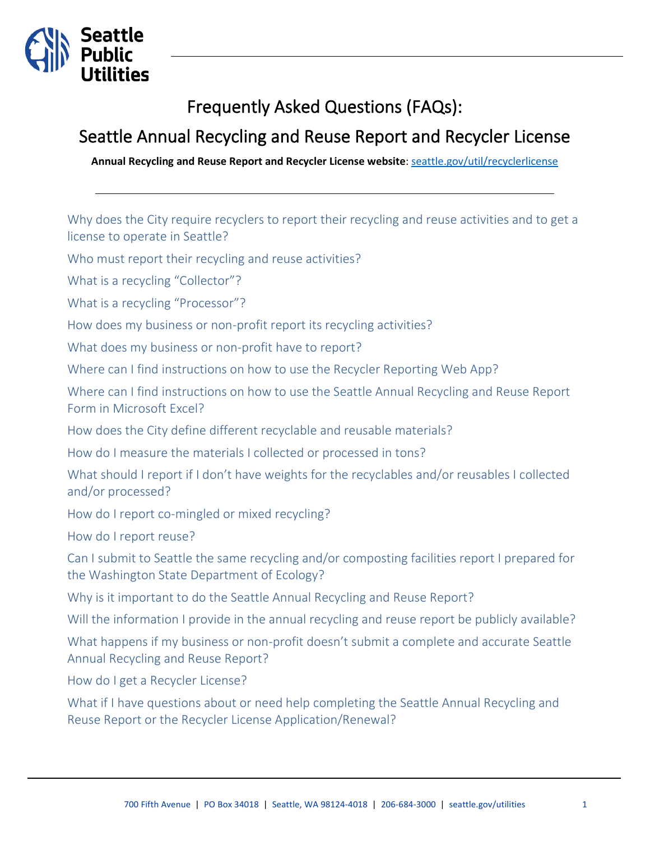

# Frequently Asked Questions (FAQs):

# Seattle Annual Recycling and Reuse Report and Recycler License

**Annual Recycling and Reuse Report and Recycler License website**[: seattle.gov/util/recyclerlicense](https://www.seattle.gov/utilities/about/reports/solid-waste-reports/recycler-annual-reports)

<span id="page-0-0"></span>[Why does the City require recyclers to report their recycling and reuse activities and to get a](#page-1-0)  [license to operate in Seattle?](#page-1-0)

[Who must report their recycling and reuse activities?](#page-1-1)

[What is a recycling "Collector"?](#page-1-2)

[What is a recycling "Processor"?](#page-2-0)

[How does my business or non-profit report its recycling activities?](#page-2-1)

[What does my business or non-profit have to report?](#page-2-2)

[Where can I find instructions on how to use the Recycler Reporting Web App?](#page-2-3)

[Where can I find instructions on how to use the Seattle Annual Recycling and Reuse Report](#page-3-0)  [Form in Microsoft Excel?](#page-3-0)

[How does the City define different recyclable and reusable materials?](#page-3-1)

[How do I measure the materials I collected or processed in tons?](#page-3-2)

[What should I report if I don't have weights for the recyclables and/or reusables I collected](#page-3-3)  [and/or processed?](#page-3-3)

[How do I report co-mingled or mixed recycling?](#page-4-0)

[How do I report reuse?](#page-4-1)

[Can I submit to Seattle the same recycling and/or composting facilities report I prepared for](#page-4-2)  [the Washington State Department of Ecology?](#page-4-2)

[Why is it important to do the Seattle Annual Recycling and Reuse Report?](#page-4-3)

[Will the information I provide in the annual recycling and reuse report be publicly available?](#page-5-0)

[What happens if my business or non-profit doesn't submit a complete and accurate Seattle](#page-5-1)  [Annual Recycling and Reuse Report?](#page-5-1)

[How do I get a Recycler License?](#page-5-2)

[What if I have questions about or need help completing the Seattle Annual Recycling and](#page-6-0)  [Reuse Report or the Recycler License Application/Renewal?](#page-6-0)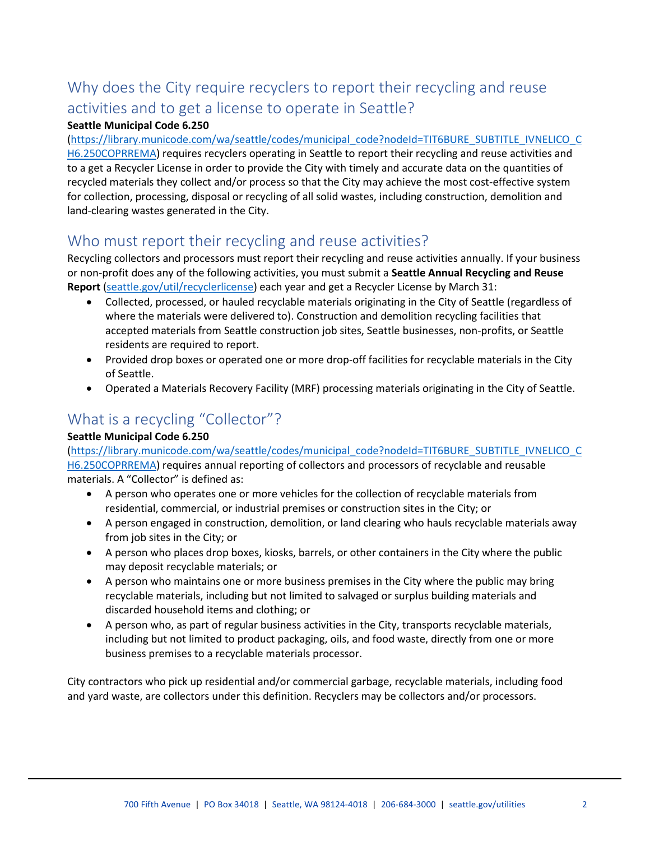## <span id="page-1-0"></span>Why does the City require recyclers to report their recycling and reuse activities and to get a license to operate in Seattle?

#### **Seattle Municipal Code 6.250**

[\(https://library.municode.com/wa/seattle/codes/municipal\\_code?nodeId=TIT6BURE\\_SUBTITLE\\_IVNELICO\\_C](https://library.municode.com/wa/seattle/codes/municipal_code?nodeId=TIT6BURE_SUBTITLE_IVNELICO_CH6.250COPRREMA) [H6.250COPRREMA\)](https://library.municode.com/wa/seattle/codes/municipal_code?nodeId=TIT6BURE_SUBTITLE_IVNELICO_CH6.250COPRREMA) requires recyclers operating in Seattle to report their recycling and reuse activities and to a get a Recycler License in order to provide the City with timely and accurate data on the quantities of recycled materials they collect and/or process so that the City may achieve the most cost-effective system for collection, processing, disposal or recycling of all solid wastes, including construction, demolition and land-clearing wastes generated in the City.

#### <span id="page-1-1"></span>Who must report their recycling and reuse activities?

Recycling collectors and processors must report their recycling and reuse activities annually. If your business or non-profit does any of the following activities, you must submit a **Seattle Annual Recycling and Reuse Report** [\(seattle.gov/util/recyclerlicense\)](https://www.seattle.gov/utilities/about/reports/solid-waste-reports/recycler-annual-reports) each year and get a Recycler License by March 31:

- Collected, processed, or hauled recyclable materials originating in the City of Seattle (regardless of where the materials were delivered to). Construction and demolition recycling facilities that accepted materials from Seattle construction job sites, Seattle businesses, non-profits, or Seattle residents are required to report.
- Provided drop boxes or operated one or more drop-off facilities for recyclable materials in the City of Seattle.
- Operated a Materials Recovery Facility (MRF) processing materials originating in the City of Seattle.

## <span id="page-1-2"></span>What is a recycling "Collector"?

#### **Seattle Municipal Code 6.250**

[\(https://library.municode.com/wa/seattle/codes/municipal\\_code?nodeId=TIT6BURE\\_SUBTITLE\\_IVNELICO\\_C](https://library.municode.com/wa/seattle/codes/municipal_code?nodeId=TIT6BURE_SUBTITLE_IVNELICO_CH6.250COPRREMA) [H6.250COPRREMA\)](https://library.municode.com/wa/seattle/codes/municipal_code?nodeId=TIT6BURE_SUBTITLE_IVNELICO_CH6.250COPRREMA) requires annual reporting of collectors and processors of recyclable and reusable materials. A "Collector" is defined as:

- A person who operates one or more vehicles for the collection of recyclable materials from residential, commercial, or industrial premises or construction sites in the City; or
- A person engaged in construction, demolition, or land clearing who hauls recyclable materials away from job sites in the City; or
- A person who places drop boxes, kiosks, barrels, or other containers in the City where the public may deposit recyclable materials; or
- A person who maintains one or more business premises in the City where the public may bring recyclable materials, including but not limited to salvaged or surplus building materials and discarded household items and clothing; or
- A person who, as part of regular business activities in the City, transports recyclable materials, including but not limited to product packaging, oils, and food waste, directly from one or more business premises to a recyclable materials processor.

City contractors who pick up residential and/or commercial garbage, recyclable materials, including food and yard waste, are collectors under this definition. Recyclers may be collectors and/or processors.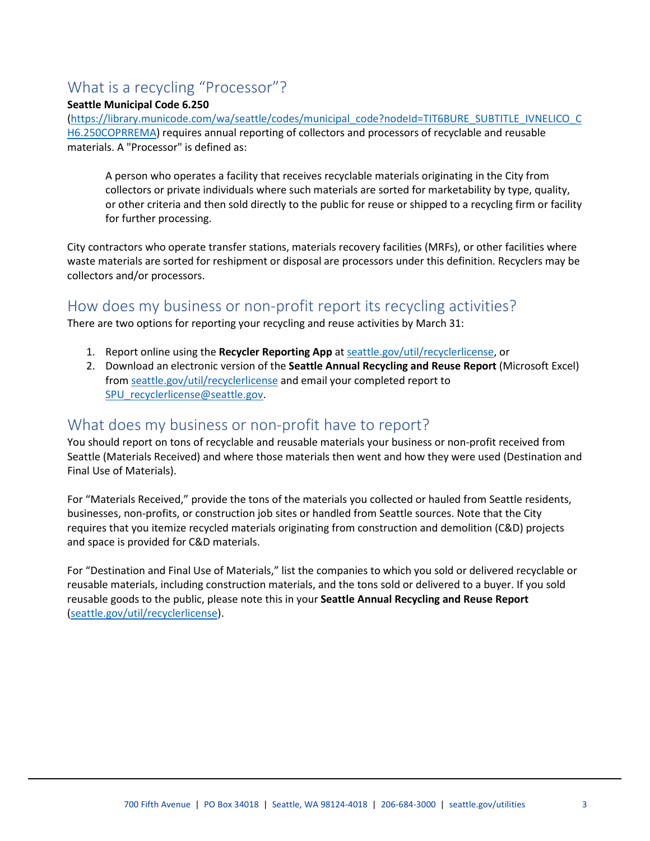### <span id="page-2-0"></span>What is a recycling "Processor"?

#### **Seattle Municipal Code 6.250**

[\(https://library.municode.com/wa/seattle/codes/municipal\\_code?nodeId=TIT6BURE\\_SUBTITLE\\_IVNELICO\\_C](https://library.municode.com/wa/seattle/codes/municipal_code?nodeId=TIT6BURE_SUBTITLE_IVNELICO_CH6.250COPRREMA) [H6.250COPRREMA\)](https://library.municode.com/wa/seattle/codes/municipal_code?nodeId=TIT6BURE_SUBTITLE_IVNELICO_CH6.250COPRREMA) requires annual reporting of collectors and processors of recyclable and reusable materials. A "Processor" is defined as:

A person who operates a facility that receives recyclable materials originating in the City from collectors or private individuals where such materials are sorted for marketability by type, quality, or other criteria and then sold directly to the public for reuse or shipped to a recycling firm or facility for further processing.

City contractors who operate transfer stations, materials recovery facilities (MRFs), or other facilities where waste materials are sorted for reshipment or disposal are processors under this definition. Recyclers may be collectors and/or processors.

#### <span id="page-2-1"></span>How does my business or non-profit report its recycling activities?

There are two options for reporting your recycling and reuse activities by March 31:

- 1. Report online using the **Recycler Reporting App** at [seattle.gov/util/recyclerlicense,](https://www.seattle.gov/utilities/about/reports/solid-waste-reports/recycler-annual-reports) or
- 2. Download an electronic version of the **Seattle Annual Recycling and Reuse Report** (Microsoft Excel) fro[m seattle.gov/util/recyclerlicense](https://www.seattle.gov/utilities/about/reports/solid-waste-reports/recycler-annual-reports) and email your completed report to [SPU\\_recyclerlicense@seattle.gov.](mailto:SPU_recyclerlicense@seattle.gov)

#### <span id="page-2-2"></span>What does my business or non-profit have to report?

You should report on tons of recyclable and reusable materials your business or non-profit received from Seattle (Materials Received) and where those materials then went and how they were used (Destination and Final Use of Materials).

For "Materials Received," provide the tons of the materials you collected or hauled from Seattle residents, businesses, non-profits, or construction job sites or handled from Seattle sources. Note that the City requires that you itemize recycled materials originating from construction and demolition (C&D) projects and space is provided for C&D materials.

<span id="page-2-3"></span>For "Destination and Final Use of Materials," list the companies to which you sold or delivered recyclable or reusable materials, including construction materials, and the tons sold or delivered to a buyer. If you sold reusable goods to the public, please note this in your **Seattle Annual Recycling and Reuse Report**  [\(seattle.gov/util/recyclerlicense\)](https://www.seattle.gov/utilities/about/reports/solid-waste-reports/recycler-annual-reports).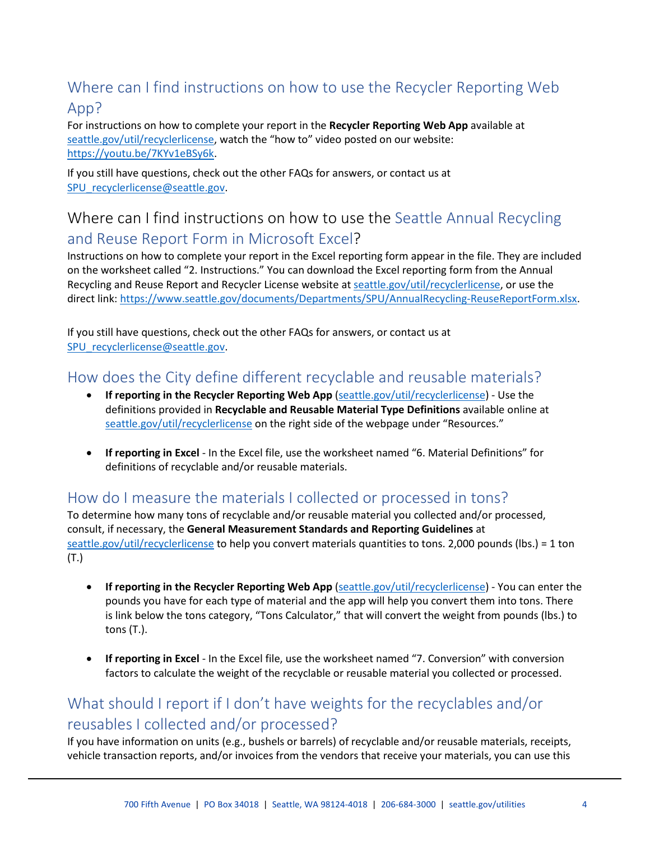### Where can I find instructions on how to use the Recycler Reporting Web App?

For instructions on how to complete your report in the **Recycler Reporting Web App** available at [seattle.gov/util/recyclerlicense,](https://www.seattle.gov/utilities/about/reports/solid-waste-reports/recycler-annual-reports) watch the "how to" video posted on our website: [https://youtu.be/7KYv1eBSy6k.](https://youtu.be/7KYv1eBSy6k)

If you still have questions, check out the other FAQs for answers, or contact us at [SPU\\_recyclerlicense@seattle.gov.](mailto:SPU_recyclerlicense@seattle.gov)

## <span id="page-3-0"></span>Where can I find instructions on how to use the Seattle Annual Recycling and Reuse Report Form in Microsoft Excel?

Instructions on how to complete your report in the Excel reporting form appear in the file. They are included on the worksheet called "2. Instructions." You can download the Excel reporting form from the Annual Recycling and Reuse Report and Recycler License website at [seattle.gov/util/recyclerlicense,](https://www.seattle.gov/utilities/about/reports/solid-waste-reports/recycler-annual-reports) or use the direct link: [https://www.seattle.gov/documents/Departments/SPU/AnnualRecycling-ReuseReportForm.xlsx.](https://www.seattle.gov/documents/Departments/SPU/AnnualRecycling-ReuseReportForm.xlsx)

If you still have questions, check out the other FAQs for answers, or contact us at [SPU\\_recyclerlicense@seattle.gov.](mailto:SPU_recyclerlicense@seattle.gov)

#### <span id="page-3-1"></span>How does the City define different recyclable and reusable materials?

- **If reporting in the Recycler Reporting Web App** [\(seattle.gov/util/recyclerlicense\)](https://www.seattle.gov/utilities/about/reports/solid-waste-reports/recycler-annual-reports) Use the definitions provided in **Recyclable and Reusable Material Type Definitions** available online at [seattle.gov/util/recyclerlicense](https://www.seattle.gov/utilities/about/reports/solid-waste-reports/recycler-annual-reports) on the right side of the webpage under "Resources."
- **If reporting in Excel** In the Excel file, use the worksheet named "6. Material Definitions" for definitions of recyclable and/or reusable materials.

#### <span id="page-3-2"></span>How do I measure the materials I collected or processed in tons?

To determine how many tons of recyclable and/or reusable material you collected and/or processed, consult, if necessary, the **General Measurement Standards and Reporting Guidelines** at [seattle.gov/util/recyclerlicense](https://www.seattle.gov/utilities/about/reports/solid-waste-reports/recycler-annual-reports) to help you convert materials quantities to tons. 2,000 pounds (lbs.) = 1 ton (T.)

- **If reporting in the Recycler Reporting Web App** [\(seattle.gov/util/recyclerlicense\)](https://www.seattle.gov/utilities/about/reports/solid-waste-reports/recycler-annual-reports) You can enter the pounds you have for each type of material and the app will help you convert them into tons. There is link below the tons category, "Tons Calculator," that will convert the weight from pounds (lbs.) to tons (T.).
- **If reporting in Excel** In the Excel file, use the worksheet named "7. Conversion" with conversion factors to calculate the weight of the recyclable or reusable material you collected or processed.

### <span id="page-3-3"></span>What should I report if I don't have weights for the recyclables and/or reusables I collected and/or processed?

If you have information on units (e.g., bushels or barrels) of recyclable and/or reusable materials, receipts, vehicle transaction reports, and/or invoices from the vendors that receive your materials, you can use this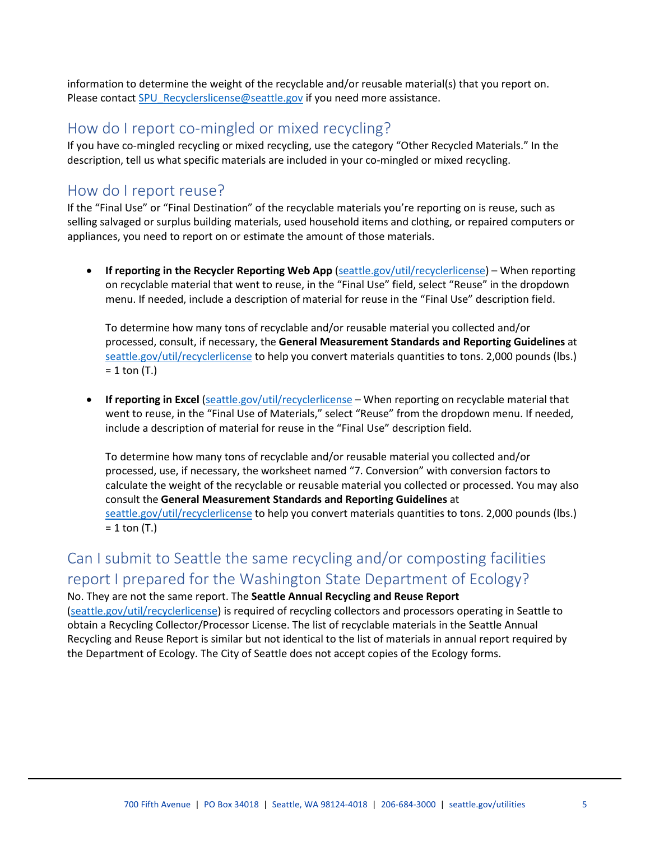information to determine the weight of the recyclable and/or reusable material(s) that you report on. Please contac[t SPU\\_Recyclerslicense@seattle.gov](mailto:SPU_Recyclerslicense@seattle.gov) if you need more assistance.

#### <span id="page-4-0"></span>How do I report co-mingled or mixed recycling?

If you have co-mingled recycling or mixed recycling, use the category "Other Recycled Materials." In the description, tell us what specific materials are included in your co-mingled or mixed recycling.

#### <span id="page-4-1"></span>[How](#page-0-0) do I report reuse?

If the "Final Use" or "Final Destination" of the recyclable materials you're reporting on is reuse, such as selling salvaged or surplus building materials, used household items and clothing, or repaired computers or appliances, you need to report on or estimate the amount of those materials.

• **If reporting in the Recycler Reporting Web App** [\(seattle.gov/util/recyclerlicense\)](https://www.seattle.gov/utilities/about/reports/solid-waste-reports/recycler-annual-reports) – When reporting on recyclable material that went to reuse, in the "Final Use" field, select "Reuse" in the dropdown menu. If needed, include a description of material for reuse in the "Final Use" description field.

To determine how many tons of recyclable and/or reusable material you collected and/or processed, consult, if necessary, the **General Measurement Standards and Reporting Guidelines** at [seattle.gov/util/recyclerlicense](https://www.seattle.gov/utilities/about/reports/solid-waste-reports/recycler-annual-reports) to help you convert materials quantities to tons. 2,000 pounds (lbs.)  $= 1$  ton  $(T.)$ 

• **If reporting in Excel** [\(seattle.gov/util/recyclerlicense](https://www.seattle.gov/utilities/about/reports/solid-waste-reports/recycler-annual-reports) – When reporting on recyclable material that went to reuse, in the "Final Use of Materials," select "Reuse" from the dropdown menu. If needed, include a description of material for reuse in the "Final Use" description field.

To determine how many tons of recyclable and/or reusable material you collected and/or processed, use, if necessary, the worksheet named "7. Conversion" with conversion factors to calculate the weight of the recyclable or reusable material you collected or processed. You may also consult the **General Measurement Standards and Reporting Guidelines** at [seattle.gov/util/recyclerlicense](https://www.seattle.gov/utilities/about/reports/solid-waste-reports/recycler-annual-reports) to help you convert materials quantities to tons. 2,000 pounds (lbs.)  $= 1$  ton  $(T.)$ 

### <span id="page-4-2"></span>Can I submit to Seattle the same recycling and/or composting facilities report I prepared for the Washington State Department of Ecology?

No. They are not the same report. The **Seattle Annual Recycling and Reuse Report**

<span id="page-4-3"></span>[\(seattle.gov/util/recyclerlicense\)](https://www.seattle.gov/utilities/about/reports/solid-waste-reports/recycler-annual-reports) is required of recycling collectors and processors operating in Seattle to obtain a Recycling Collector/Processor License. The list of recyclable materials in the Seattle Annual Recycling and Reuse Report is similar but not identical to the list of materials in annual report required by the Department of Ecology. The City of Seattle does not accept copies of the Ecology forms.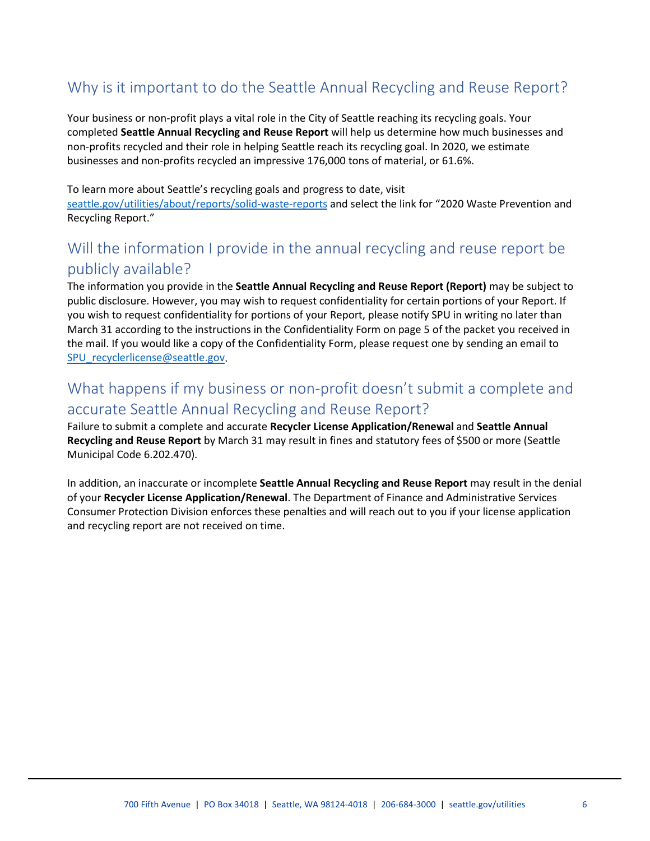### Why is it important to do the Seattle Annual Recycling and Reuse Report?

Your business or non-profit plays a vital role in the City of Seattle reaching its recycling goals. Your completed **Seattle Annual Recycling and Reuse Report** will help us determine how much businesses and non-profits recycled and their role in helping Seattle reach its recycling goal. In 2020, we estimate businesses and non-profits recycled an impressive 176,000 tons of material, or 61.6%.

To learn more about Seattle's recycling goals and progress to date, visit [seattle.gov/utilities/about/reports/solid-waste-reports](http://www.seattle.gov/utilities/about/reports/solid-waste-reports) and select the link for "2020 Waste Prevention and Recycling Report."

### <span id="page-5-0"></span>Will the information I provide in the annual recycling and reuse report be publicly available?

The information you provide in the **Seattle Annual Recycling and Reuse Report (Report)** may be subject to public disclosure. However, you may wish to request confidentiality for certain portions of your Report. If you wish to request confidentiality for portions of your Report, please notify SPU in writing no later than March 31 according to the instructions in the Confidentiality Form on page 5 of the packet you received in the mail. If you would like a copy of the Confidentiality Form, please request one by sending an email to [SPU\\_recyclerlicense@seattle.gov.](mailto:spu_recyclerlicense@seattle.gov)

### <span id="page-5-1"></span>What happens if my business or non-profit doesn't submit a complete and accurate Seattle Annual Recycling and Reuse Report?

Failure to submit a complete and accurate **Recycler License Application/Renewal** and **Seattle Annual Recycling and Reuse Report** by March 31 may result in fines and statutory fees of \$500 or more (Seattle Municipal Code 6.202.470).

<span id="page-5-2"></span>In addition, an inaccurate or incomplete **Seattle Annual Recycling and Reuse Report** may result in the denial of your **Recycler License Application/Renewal**. The Department of Finance and Administrative Services Consumer Protection Division enforces these penalties and will reach out to you if your license application and recycling report are not received on time.